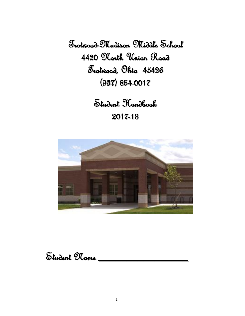Trotwood-Madison Middle School 4420 North Union Road Trotwood, Ohio 45426 (937) 854-0017

> Student Handbook 2017-18



Student Name \_\_\_\_\_\_\_\_\_\_\_\_\_\_\_\_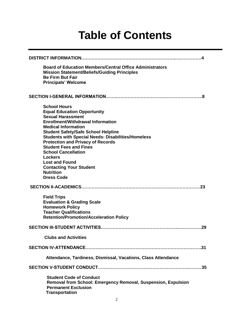### **Table of Contents**

| <b>Board of Education Members/Central Office Administrators</b><br><b>Mission Statement/Beliefs/Guiding Principles</b><br><b>Be Firm But Fair</b><br><b>Principals' Welcome</b>                                                                                                                                                                                                                                                                                                                      |  |  |
|------------------------------------------------------------------------------------------------------------------------------------------------------------------------------------------------------------------------------------------------------------------------------------------------------------------------------------------------------------------------------------------------------------------------------------------------------------------------------------------------------|--|--|
| -8                                                                                                                                                                                                                                                                                                                                                                                                                                                                                                   |  |  |
| <b>School Hours</b><br><b>Equal Education Opportunity</b><br><b>Sexual Harassment</b><br><b>Enrollment/Withdrawal Information</b><br><b>Medical Information</b><br><b>Student Safety/Safe School Helpline</b><br><b>Students with Special Needs: Disabilities/Homeless</b><br><b>Protection and Privacy of Records</b><br><b>Student Fees and Fines</b><br><b>School Cancellation</b><br>Lockers<br><b>Lost and Found</b><br><b>Contacting Your Student</b><br><b>Nutrition</b><br><b>Dress Code</b> |  |  |
|                                                                                                                                                                                                                                                                                                                                                                                                                                                                                                      |  |  |
| <b>Field Trips</b><br><b>Evaluation &amp; Grading Scale</b><br><b>Homework Policy</b><br><b>Teacher Qualifications</b><br><b>Retention/Promotion/Acceleration Policy</b>                                                                                                                                                                                                                                                                                                                             |  |  |
|                                                                                                                                                                                                                                                                                                                                                                                                                                                                                                      |  |  |
| <b>Clubs and Activities</b>                                                                                                                                                                                                                                                                                                                                                                                                                                                                          |  |  |
|                                                                                                                                                                                                                                                                                                                                                                                                                                                                                                      |  |  |
| Attendance, Tardiness, Dismissal, Vacations, Class Attendance                                                                                                                                                                                                                                                                                                                                                                                                                                        |  |  |
|                                                                                                                                                                                                                                                                                                                                                                                                                                                                                                      |  |  |
| <b>Student Code of Conduct</b><br>Removal from School: Emergency Removal, Suspension, Expulsion<br><b>Permanent Exclusion</b><br><b>Transportation</b>                                                                                                                                                                                                                                                                                                                                               |  |  |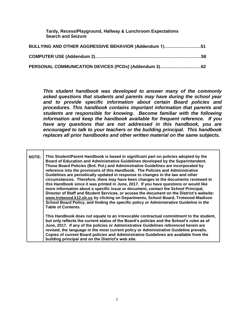**Tardy, Recess/Playground, Hallway & Lunchroom Expectations Search and Seizure**

| BULLYING AND OTHER AGGRESSIVE BEHAVIOR (Addendum 1)51 |  |
|-------------------------------------------------------|--|
|                                                       |  |
| PERSONAL COMMUNICATION DEVICES (PCDs) (Addendum 3)62  |  |

*This student handbook was developed to answer many of the commonly asked questions that students and parents may have during the school year and to provide specific information about certain Board policies and procedures. This handbook contains important information that parents and students are responsible for knowing. Become familiar with the following information and keep the handbook available for frequent reference. If you have any questions that are not addressed in this handbook, you are encouraged to talk to your teachers or the building principal. This handbook replaces all prior handbooks and other written material on the same subjects.*

**NOTE: This Student/Parent Handbook is based in significant part on policies adopted by the Board of Education and Administrative Guidelines developed by the Superintendent. Those Board Policies (Brd. Pol.) and Administrative Guidelines are incorporated by reference into the provisions of this Handbook. The Policies and Administrative Guidelines are periodically updated in response to changes in the law and other circumstances. Therefore, there may have been changes to the documents reviewed in this Handbook since it was printed in June, 2017. If you have questions or would like more information about a specific issue or document, contact the School Principal, Director of Staff and Student Services, or access the document on the District's website: [www.trotwood.k12.oh.us](http://www.trotwood.k12.oh.us/) by clicking on Departments, School Board, Trotwood-Madison School Board Policy, and finding the specific policy or Administrative Guideline in the Table of Contents. This Handbook does not equate to an irrevocable contractual commitment to the student, but only reflects the current status of the Board's policies and the School's rules as of** 

**June, 2017. If any of the policies or Administrative Guidelines referenced herein are revised, the language in the most current policy or Administrative Guideline prevails. Copies of current Board policies and Administrative Guidelines are available from the building principal and on the District's web site.**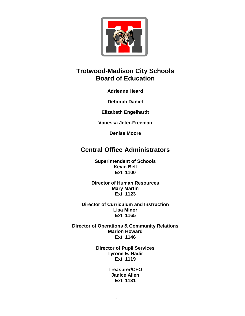

#### **Trotwood-Madison City Schools Board of Education**

**Adrienne Heard**

**Deborah Daniel**

**Elizabeth Engelhardt**

**Vanessa Jeter-Freeman**

**Denise Moore**

#### **Central Office Administrators**

**Superintendent of Schools Kevin Bell Ext. 1100**

**Director of Human Resources Mary Martin Ext. 1123**

**Director of Curriculum and Instruction Lisa Minor Ext. 1165**

**Director of Operations & Community Relations Marlon Howard Ext. 1146**

> **Director of Pupil Services Tyrone E. Nadir Ext. 1119**

> > **Treasurer/CFO Janice Allen Ext. 1131**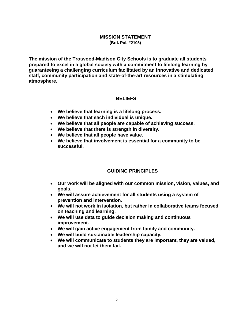#### **MISSION STATEMENT (Brd. Pol. #2105)**

**The mission of the Trotwood-Madison City Schools is to graduate all students prepared to excel in a global society with a commitment to lifelong learning by guaranteeing a challenging curriculum facilitated by an innovative and dedicated staff, community participation and state-of-the-art resources in a stimulating atmosphere.** 

#### **BELIEFS**

- **We believe that learning is a lifelong process.**
- **We believe that each individual is unique.**
- **We believe that all people are capable of achieving success.**
- **We believe that there is strength in diversity.**
- **We believe that all people have value.**
- **We believe that involvement is essential for a community to be successful.**

#### **GUIDING PRINCIPLES**

- **Our work will be aligned with our common mission, vision, values, and goals.**
- **We will assure achievement for all students using a system of prevention and intervention.**
- **We will not work in isolation, but rather in collaborative teams focused on teaching and learning.**
- **We will use data to guide decision making and continuous improvement.**
- **We will gain active engagement from family and community.**
- **We will build sustainable leadership capacity.**
- **We will communicate to students they are important, they are valued, and we will not let them fail.**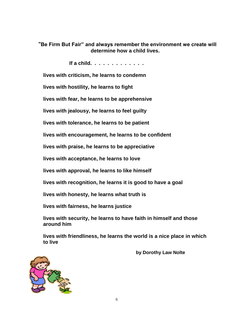**"Be Firm But Fair" and always remember the environment we create will determine how a child lives.**

 **If a child. . . . . . . . . . . . .** 

**lives with criticism, he learns to condemn**

**lives with hostility, he learns to fight**

**lives with fear, he learns to be apprehensive**

**lives with jealousy, he learns to feel guilty**

**lives with tolerance, he learns to be patient**

**lives with encouragement, he learns to be confident**

**lives with praise, he learns to be appreciative**

**lives with acceptance, he learns to love**

**lives with approval, he learns to like himself**

**lives with recognition, he learns it is good to have a goal**

**lives with honesty, he learns what truth is**

**lives with fairness, he learns justice**

**lives with security, he learns to have faith in himself and those around him**

**lives with friendliness, he learns the world is a nice place in which to live**

 **by Dorothy Law Nolte**

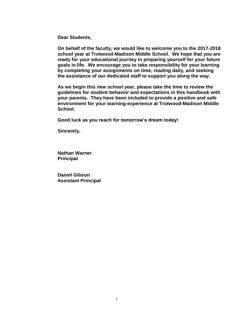**Dear Students,**

**On behalf of the faculty, we would like to welcome you to the 2017-2018 school year at Trotwood-Madison Middle School. We hope that you are ready for your educational journey in preparing yourself for your future goals in life. We encourage you to take responsibility for your learning by completing your assignments on time, reading daily, and seeking the assistance of our dedicated staff to support you along the way.**

**As we begin this new school year, please take the time to review the guidelines for student behavior and expectations in this handbook with your parents. They have been included to provide a positive and safe environment for your learning experience at Trotwood-Madison Middle School.**

**Good luck as you reach for tomorrow's dream today!**

**Sincerely,**

**Nathan Warner Principal** 

**Daniel Gibson Assistant Principal**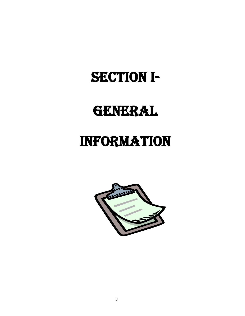# SECTION I-

# GENERAL

### INFORMATION

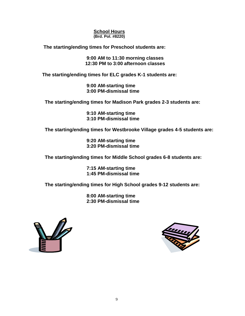#### **School Hours (Brd. Pol. #8220)**

 **The starting/ending times for Preschool students are:**

 **9:00 AM to 11:30 morning classes 12:30 PM to 3:00 afternoon classes**

 **The starting/ending times for ELC grades K-1 students are:**

 **9:00 AM-starting time 3:00 PM-dismissal time**

 **The starting/ending times for Madison Park grades 2-3 students are:** 

 **9:10 AM-starting time 3:10 PM-dismissal time**

 **The starting/ending times for Westbrooke Village grades 4-5 students are:** 

 **9:20 AM-starting time 3:20 PM-dismissal time**

 **The starting/ending times for Middle School grades 6-8 students are:** 

 **7:15 AM-starting time 1:45 PM-dismissal time**

 **The starting/ending times for High School grades 9-12 students are:**

 **8:00 AM-starting time 2:30 PM-dismissal time**



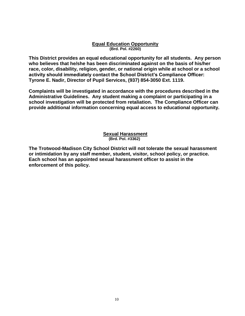#### **Equal Education Opportunity (Brd. Pol. #2260)**

**This District provides an equal educational opportunity for all students. Any person who believes that he/she has been discriminated against on the basis of his/her race, color, disability, religion, gender, or national origin while at school or a school activity should immediately contact the School District's Compliance Officer: Tyrone E. Nadir, Director of Pupil Services, (937) 854-3050 Ext. 1119.** 

**Complaints will be investigated in accordance with the procedures described in the Administrative Guidelines. Any student making a complaint or participating in a school investigation will be protected from retaliation. The Compliance Officer can provide additional information concerning equal access to educational opportunity.** 

#### **Sexual Harassment (Brd. Pol. #3362)**

**The Trotwood-Madison City School District will not tolerate the sexual harassment or intimidation by any staff member, student, visitor, school policy, or practice. Each school has an appointed sexual harassment officer to assist in the enforcement of this policy.**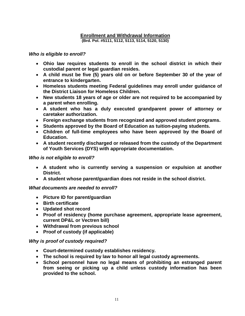#### **Enrollment and Withdrawal Information (Brd. Pol. #5111, 5112, 5113, 5114, 5120, 5130)**

#### *Who is eligible to enroll?*

- **Ohio law requires students to enroll in the school district in which their custodial parent or legal guardian resides.**
- **A child must be five (5) years old on or before September 30 of the year of entrance to kindergarten.**
- **Homeless students meeting Federal guidelines may enroll under guidance of the District Liaison for Homeless Children.**
- **New students 18 years of age or older are not required to be accompanied by a parent when enrolling.**
- **A student who has a duly executed grandparent power of attorney or caretaker authorization.**
- **Foreign exchange students from recognized and approved student programs.**
- **Students approved by the Board of Education as tuition-paying students.**
- **Children of full-time employees who have been approved by the Board of Education.**
- **A student recently discharged or released from the custody of the Department of Youth Services (DYS) with appropriate documentation.**

#### *Who is not eligible to enroll?*

- **A student who is currently serving a suspension or expulsion at another District.**
- **A student whose parent/guardian does not reside in the school district.**

#### *What documents are needed to enroll?*

- **Picture ID for parent/guardian**
- **Birth certificate**
- **Updated shot record**
- **Proof of residency (home purchase agreement, appropriate lease agreement, current DP&L or Vectren bill)**
- **Withdrawal from previous school**
- **Proof of custody (if applicable)**

#### *Why is proof of custody required?*

- **Court-determined custody establishes residency.**
- **The school is required by law to honor all legal custody agreements.**
- **School personnel have no legal means of prohibiting an estranged parent from seeing or picking up a child unless custody information has been provided to the school.**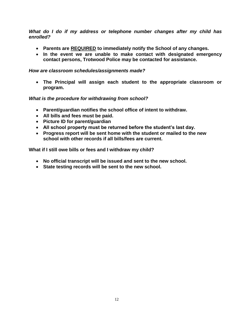*What do I do if my address or telephone number changes after my child has enrolled?*

- **Parents are REQUIRED to immediately notify the School of any changes.**
- **In the event we are unable to make contact with designated emergency contact persons, Trotwood Police may be contacted for assistance.**

#### *How are classroom schedules/assignments made?*

 **The Principal will assign each student to the appropriate classroom or program.**

#### *What is the procedure for withdrawing from school?*

- **Parent/guardian notifies the school office of intent to withdraw.**
- **All bills and fees must be paid.**
- **Picture ID for parent/guardian**
- **All school property must be returned before the student's last day.**
- **Progress report will be sent home with the student or mailed to the new school with other records if all bills/fees are current.**

**What if I still owe bills or fees and I withdraw my child?**

- **No official transcript will be issued and sent to the new school.**
- **State testing records will be sent to the new school.**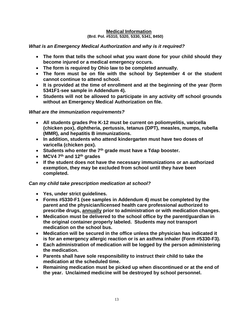#### **Medical Information**

#### **(Brd. Pol. #5310, 5320, 5330, 5341, 8450)**

#### *What is an Emergency Medical Authorization and why is it required?*

- **The form that tells the school what you want done for your child should they become injured or a medical emergency occurs.**
- **The form is required by Ohio law to be completed annually.**
- **The form must be on file with the school by September 4 or the student cannot continue to attend school.**
- **It is provided at the time of enrollment and at the beginning of the year (form 5341F1-see sample in Addendum 4).**
- **Students will not be allowed to participate in any activity off school grounds without an Emergency Medical Authorization on file.**

#### *What are the immunization requirements?*

- **All students grades Pre K-12 must be current on poliomyelitis, varicella (chicken pox), diphtheria, pertussis, tetanus (DPT), measles, mumps, rubella (MMR), and hepatitis B immunizations.**
- **In addition, students who attend kindergarten must have two doses of varicella (chicken pox).**
- **Students who enter the 7th grade must have a Tdap booster.**
- **MCV4 7th and 12th grades**
- **If the student does not have the necessary immunizations or an authorized exemption, they may be excluded from school until they have been completed.**

#### *Can my child take prescription medication at school?*

- **Yes, under strict guidelines.**
- **Forms #5330-F1 (see samples in Addendum 4) must be completed by the parent and the physician/licensed health care professional authorized to prescribe drugs, annually prior to administration or with medication changes.**
- **Medication must be delivered to the school office by the parent/guardian in the original container properly labeled. Students may not transport medication on the school bus.**
- **Medication will be secured in the office unless the physician has indicated it is for an emergency allergic reaction or is an asthma inhaler (Form #5330-F3).**
- **Each administration of medication will be logged by the person administering the medication.**
- **Parents shall have sole responsibility to instruct their child to take the medication at the scheduled time.**
- **Remaining medication must be picked up when discontinued or at the end of the year. Unclaimed medicine will be destroyed by school personnel.**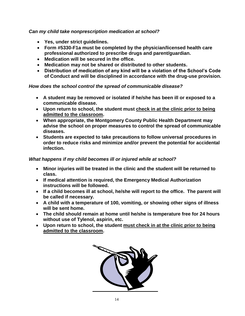*Can my child take nonprescription medication at school?*

- **Yes, under strict guidelines.**
- **Form #5330-F1a must be completed by the physician/licensed health care professional authorized to prescribe drugs and parent/guardian.**
- **Medication will be secured in the office.**
- **Medication may not be shared or distributed to other students.**
- **Distribution of medication of any kind will be a violation of the School's Code of Conduct and will be disciplined in accordance with the drug-use provision.**

*How does the school control the spread of communicable disease?*

- **A student may be removed or isolated if he/she has been ill or exposed to a communicable disease.**
- **Upon return to school, the student must check in at the clinic prior to being admitted to the classroom.**
- **When appropriate, the Montgomery County Public Health Department may advise the school on proper measures to control the spread of communicable diseases.**
- **Students are expected to take precautions to follow universal procedures in order to reduce risks and minimize and/or prevent the potential for accidental infection.**

#### *What happens if my child becomes ill or injured while at school?*

- **Minor injuries will be treated in the clinic and the student will be returned to class.**
- **If medical attention is required, the Emergency Medical Authorization instructions will be followed.**
- **If a child becomes ill at school, he/she will report to the office. The parent will be called if necessary.**
- **A child with a temperature of 100, vomiting, or showing other signs of illness will be sent home.**
- **The child should remain at home until he/she is temperature free for 24 hours without use of Tylenol, aspirin, etc.**
- **Upon return to school, the student must check in at the clinic prior to being admitted to the classroom.**

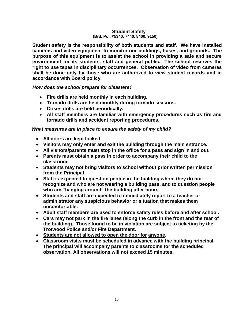#### **Student Safety**

#### **(Brd. Pol. #5340, 7440, 8400, 9150)**

**Student safety is the responsibility of both students and staff. We have installed cameras and video equipment to monitor our buildings, buses, and grounds. The purpose of this equipment is to assist the school in providing a safe and secure environment for its students, staff and general public. The school reserves the right to use tapes in disciplinary occurrences. Observation of video from cameras shall be done only by those who are authorized to view student records and in accordance with Board policy.**

#### *How does the school prepare for disasters?*

- **Fire drills are held monthly in each building.**
- **Tornado drills are held monthly during tornado seasons.**
- **Crises drills are held periodically.**
- **All staff members are familiar with emergency procedures such as fire and tornado drills and accident reporting procedures.**

#### *What measures are in place to ensure the safety of my child?*

- **All doors are kept locked**
- **Visitors may only enter and exit the building through the main entrance.**
- **All visitors/parents must stop in the office for a pass and sign in and out.**
- **Parents must obtain a pass in order to accompany their child to the classroom.**
- **Students may not bring visitors to school without prior written permission from the Principal.**
- **Staff is expected to question people in the building whom they do not recognize and who are not wearing a building pass, and to question people who are "hanging around" the building after hours.**
- **Students and staff are expected to immediately report to a teacher or administrator any suspicious behavior or situation that makes them uncomfortable.**
- **Adult staff members are used to enforce safety rules before and after school.**
- **Cars may not park in the fire lanes (along the curb in the front and the rear of the building). Those found to be in violation are subject to ticketing by the Trotwood Police and/or Fire Department.**
- **Students are not allowed to open the door for anyone.**
- **Classroom visits must be scheduled in advance with the building principal. The principal will accompany parents to classrooms for the scheduled observation. All observations will not exceed 15 minutes.**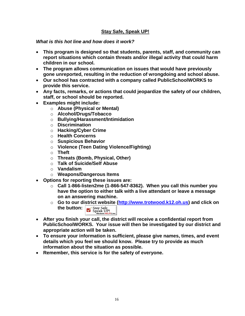#### **Stay Safe, Speak UP!**

*What is this hot line and how does it work?*

- **This program is designed so that students, parents, staff, and community can report situations which contain threats and/or illegal activity that could harm children in our school.**
- **The program allows communication on issues that would have previously gone unreported, resulting in the reduction of wrongdoing and school abuse.**
- **Our school has contracted with a company called PublicSchoolWORKS to provide this service.**
- **Any facts, remarks, or actions that could jeopardize the safety of our children, staff, or school should be reported.**
- **Examples might include:** 
	- o **Abuse (Physical or Mental)**
	- o **Alcohol/Drugs/Tobacco**
	- o **Bullying/Harassment/Intimidation**
	- o **Discrimination**
	- o **Hacking/Cyber Crime**
	- o **Health Concerns**
	- o **Suspicious Behavior**
	- o **Violence (Teen Dating Violence/Fighting)**
	- o **Theft**
	- o **Threats (Bomb, Physical, Other)**
	- o **Talk of Suicide/Self Abuse**
	- o **Vandalism**
	- o **Weapons/Dangerous Items**
- **Options for reporting these issues are:**
	- o **Call 1-866-listen2me (1-866-547-8362). When you call this number you have the option to either talk with a live attendant or leave a message on an answering machine.**
	- o **Go to our district website [\(http://www.trotwood.k12.oh.us\)](http://www.trotwood.k12.oh.us/) and click on the button:** Stay Safe Speak UP!
- **After you finish your call, the district will receive a confidential report from PublicSchoolWORKS. Your issue will then be investigated by our district and appropriate action will be taken.**
- **To ensure your information is sufficient, please give names, times, and event details which you feel we should know. Please try to provide as much information about the situation as possible.**
- **Remember, this service is for the safety of everyone.**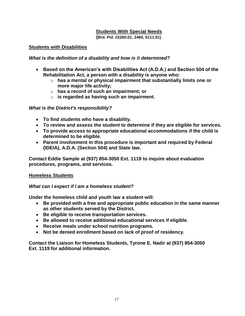#### **Students With Special Needs**

 **(Brd. Pol. #2260.01, 2460, 5111.01)**

#### **Students with Disabilities**

#### *What is the definition of a disability and how is it determined?*

- **Based on the American's with Disabilities Act (A.D.A.) and Section 504 of the Rehabilitation Act, a person with a disability is anyone who:** 
	- o **has a mental or physical impairment that substantially limits one or more major life activity;**
	- o **has a record of such an impairment; or**
	- o **is regarded as having such an impairment.**

#### *What is the District's responsibility?*

- **To find students who have a disability.**
- **To review and assess the student to determine if they are eligible for services.**
- **To provide access to appropriate educational accommodations if the child is determined to be eligible.**
- **Parent involvement in this procedure is important and required by Federal (IDEIA), A.D.A. (Section 504) and State law.**

**Contact Eddie Sample at (937) 854-3050 Ext. 1119 to inquire about evaluation procedures, programs, and services.** 

#### **Homeless Students**

#### *What can I expect if I am a homeless student?*

**Under the homeless child and youth law a student will:**

- **Be provided with a free and appropriate public education in the same manner as other students served by the District.**
- **Be eligible to receive transportation services.**
- **Be allowed to receive additional educational services if eligible.**
- **Receive meals under school nutrition programs.**
- **Not be denied enrollment based on lack of proof of residency.**

**Contact the Liaison for Homeless Students, Tyrone E. Nadir at (937) 854-3050 Ext. 1119 for additional information.**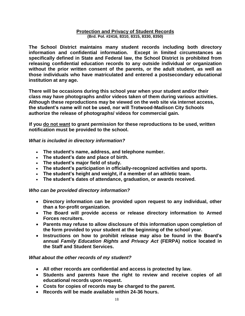#### **Protection and Privacy of Student Records (Brd. Pol. #2416, 8310, 8315, 8330, 8350)**

**The School District maintains many student records including both directory information and confidential information. Except in limited circumstances as specifically defined in State and Federal law, the School District is prohibited from releasing confidential education records to any outside individual or organization without the prior written consent of the parents, or the adult student, as well as those individuals who have matriculated and entered a postsecondary educational institution at any age.**

**There will be occasions during this school year when your student and/or their class may have photographs and/or videos taken of them during various activities. Although these reproductions may be viewed on the web site via internet access, the student's name will not be used, nor will Trotwood-Madison City Schools authorize the release of photographs/ videos for commercial gain.** 

 **If you do not want to grant permission for these reproductions to be used, written notification must be provided to the school.** 

#### *What is included in directory information?*

- **The student's name, address, and telephone number.**
- **The student's date and place of birth.**
- **The student's major field of study.**
- **The student's participation in officially-recognized activities and sports.**
- **The student's height and weight, if a member of an athletic team.**
- **The student's dates of attendance, graduation, or awards received.**

#### *Who can be provided directory information?*

- **Directory information can be provided upon request to any individual, other than a for-profit organization.**
- **The Board will provide access or release directory information to Armed Forces recruiters.**
- **Parents may refuse to allow disclosure of this information upon completion of the form provided to your student at the beginning of the school year.**
- **Instructions on how to prohibit release may also be found in the Board's annual** *Family Education Rights and Privacy Act* **(FERPA) notice located in the Staff and Student Services.**

#### *What about the other records of my student?*

- **All other records are confidential and access is protected by law.**
- **Students and parents have the right to review and receive copies of all educational records upon request.**
- **Costs for copies of records may be charged to the parent.**
- **Records will be made available within 24-36 hours.**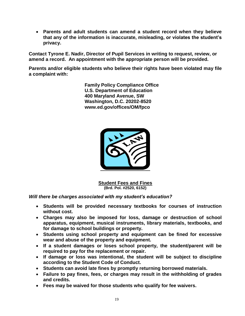**Parents and adult students can amend a student record when they believe that any of the information is inaccurate, misleading, or violates the student's privacy.** 

**Contact Tyrone E. Nadir, Director of Pupil Services in writing to request, review, or amend a record. An appointment with the appropriate person will be provided.**

**Parents and/or eligible students who believe their rights have been violated may file a complaint with:**

> **Family Policy Compliance Office U.S. Department of Education 400 Maryland Avenue, SW Washington, D.C. 20202-8520 www.ed.gov/offices/OM/fpco**



**Student Fees and Fines (Brd. Pol. #2520, 6152)**

*Will there be charges associated with my student's education?*

- **Students will be provided necessary textbooks for courses of instruction without cost.**
- **Charges may also be imposed for loss, damage or destruction of school apparatus, equipment, musical instruments, library materials, textbooks, and for damage to school buildings or property.**
- **Students using school property and equipment can be fined for excessive wear and abuse of the property and equipment.**
- **If a student damages or loses school property, the student/parent will be required to pay for the replacement or repair.**
- **If damage or loss was intentional, the student will be subject to discipline according to the Student Code of Conduct.**
- **Students can avoid late fines by promptly returning borrowed materials.**
- **Failure to pay fines, fees, or charges may result in the withholding of grades and credits.**
- **Fees may be waived for those students who qualify for fee waivers.**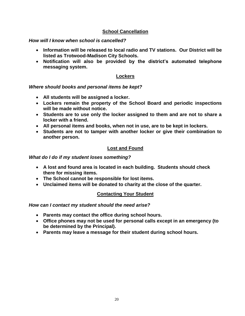#### **School Cancellation**

#### *How will I know when school is cancelled?*

- **Information will be released to local radio and TV stations. Our District will be listed as Trotwood-Madison City Schools.**
- **Notification will also be provided by the district's automated telephone messaging system.**

#### **Lockers**

#### *Where should books and personal items be kept?*

- **All students will be assigned a locker.**
- **Lockers remain the property of the School Board and periodic inspections will be made without notice.**
- **Students are to use only the locker assigned to them and are not to share a locker with a friend.**
- **All personal items and books, when not in use, are to be kept in lockers.**
- **Students are not to tamper with another locker or give their combination to another person.**

#### **Lost and Found**

*What do I do if my student loses something?*

- **A lost and found area is located in each building. Students should check there for missing items.**
- **The School cannot be responsible for lost items.**
- **Unclaimed items will be donated to charity at the close of the quarter.**

#### **Contacting Your Student**

*How can I contact my student should the need arise?*

- **Parents may contact the office during school hours.**
- **Office phones may not be used for personal calls except in an emergency (to be determined by the Principal).**
- **Parents may leave a message for their student during school hours.**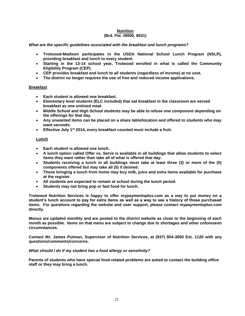#### **Nutrition (Brd. Pol. #8500, 8531)**

#### *What are the specific guidelines associated with the breakfast and lunch programs?*

- **Trotwood-Madison participates in the USDA National School Lunch Program (NSLP), providing breakfast and lunch to every student.**
- **Starting in the 13-14 school year, Trotwood enrolled in what is called the Community Eligibility Program (CEP).**
- **CEP provides breakfast and lunch to all students (regardless of income) at no cost.**
- **The district no longer requires the use of free and reduced income applications.**

#### **Breakfast**

- **Each student is allowed one breakfast.**
- **Elementary level students (ELC included) that eat breakfast in the classroom are served breakfast as one unitized meal.**
- **Middle School and High School students may be able to refuse one component depending on the offerings for that day.**
- **Any unwanted items can be placed on a share table/location and offered to students who may want seconds.**
- **Effective July 1st 2014, every breakfast counted must include a fruit.**

#### **Lunch**

- **Each student is allowed one lunch.**
- **A lunch option called Offer vs. Serve is available in all buildings that allow students to select items they want rather than take all of what is offered that day.**
- **Students receiving a lunch in all buildings must take at least three (3) or more of the (5) components offered but may take all (5) if desired.**
- **Those bringing a lunch from home may buy milk, juice and extra items available for purchase at the register.**
- **All students are expected to remain at school during the lunch period.**
- **Students may not bring pop or fast food for lunch.**

**Trotwood Nutrition Services is happy to offer mypaymentsplus.com as a way to put money on a student's lunch account to pay for extra items as well as a way to see a history of those purchased items. For questions regarding the website and user support, please contact mypaymentsplus.com directly.** 

**Menus are updated monthly and are posted to the district website as close to the beginning of each month as possible. Items on that menu are subject to change due to shortages and other unforeseen circumstances.**

**Contact Mr. James Putman, Supervisor of Nutrition Services, at (937) 854-3050 Ext. 1120 with any questions/comments/concerns.**

#### *What should I do if my student has a food allergy or sensitivity?*

**Parents of students who have special food-related problems are asked to contact the building office staff or they may bring a lunch.**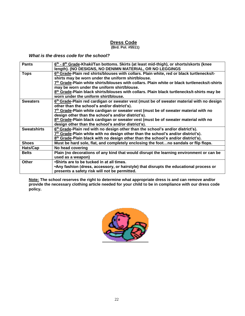#### *Dress Code*

**(Brd. Pol. #5511)**

*What is the dress code for the school?*

| 6 <sup>th</sup> - 8 <sup>th</sup> Grade-Khaki/Tan bottoms. Skirts (at least mid-thigh), or shorts/skorts (knee |
|----------------------------------------------------------------------------------------------------------------|
| length). (NO DESIGNS, NO DENIMN MATERIAL, OR NO LEGGINGS                                                       |
| 6 <sup>th</sup> Grade-Plain red shirts/blouses with collars. Plain white, red or black turtlenecks/t-          |
| shirts may be worn under the uniform shirt/blouse.                                                             |
| 7th Grade-Plain white shirts/blouses with collars. Plain white or black turtlenecks/t-shirts                   |
| may be worn under the uniform shirt/blouse.                                                                    |
| 8th Grade-Plain black shirts/blouses with collars. Plain black turtlenecks/t-shirts may be                     |
| worn under the uniform shirt/blouse.                                                                           |
| 6 <sup>th</sup> Grade-Plain red cardigan or sweater vest (must be of sweater material with no design           |
| other than the school's and/or district's).                                                                    |
| 7th Grade-Plain white cardigan or sweater vest (must be of sweater material with no                            |
| design other than the school's and/or district's).                                                             |
| 8 <sup>th</sup> Grade-Plain black cardigan or sweater vest (must be of sweater material with no                |
| design other than the school's and/or district's).                                                             |
| 6 <sup>th</sup> Grade-Plain red with no design other than the school's and/or district's).                     |
| $7th$ Grade-Plain white with no design other than the school's and/or district's).                             |
| 8 <sup>th</sup> Grade-Plain black with no design other than the school's and/or district's).                   |
| Must be hard sole, flat, and completely enclosing the footno sandals or flip flops.                            |
| No head covering                                                                                               |
| Plain (no decorations of any kind that would disrupt the learning environment or can be                        |
| used as a weapon)                                                                                              |
| •Shirts are to be tucked in at all times.                                                                      |
| •Any fashion (dress, accessory, or hairstyle) that disrupts the educational process or                         |
| presents a safety risk will not be permitted.                                                                  |
|                                                                                                                |

**Note: The school reserves the right to determine what appropriate dress is and can remove and/or provide the necessary clothing article needed for your child to be in compliance with our dress code policy.**

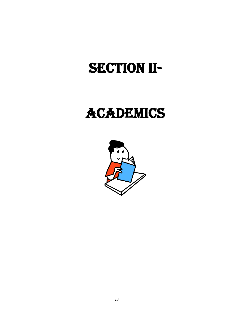# SECTION II-

## ACADEMICS

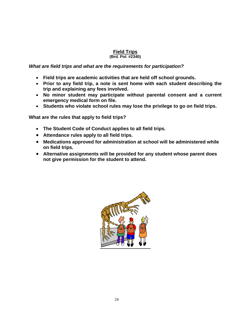#### **Field Trips**

#### **(Brd. Pol. #2340)**

#### *What are field trips and what are the requirements for participation?*

- **Field trips are academic activities that are held off school grounds.**
- **Prior to any field trip, a note is sent home with each student describing the trip and explaining any fees involved.**
- **No minor student may participate without parental consent and a current emergency medical form on file.**
- **Students who violate school rules may lose the privilege to go on field trips.**

**What are the rules that apply to field trips?**

- **The Student Code of Conduct applies to all field trips.**
- **Attendance rules apply to all field trips.**
- **Medications approved for administration at school will be administered while on field trips.**
- **Alternative assignments will be provided for any student whose parent does not give permission for the student to attend.**

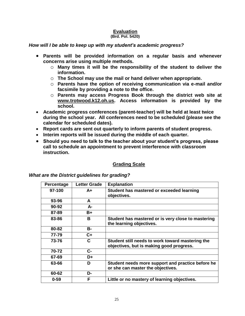#### **Evaluation**

#### **(Brd. Pol. 5420)**

#### *How will I be able to keep up with my student's academic progress?*

- **Parents will be provided information on a regular basis and whenever concerns arise using multiple methods.** 
	- o **Many times it will be the responsibility of the student to deliver the information.**
	- o **The School may use the mail or hand deliver when appropriate.**
	- o **Parents have the option of receiving communication via e-mail and/or facsimile by providing a note to the office.**
	- o **Parents may access Progress Book through the district web site at [www.trotwood.k12.oh.us.](http://www.trotwood.k12.oh.us/) Access information is provided by the school.**
- **Academic progress conferences (parent-teacher) will be held at least twice during the school year. All conferences need to be scheduled (please see the calendar for scheduled dates).**
- **Report cards are sent out quarterly to inform parents of student progress.**
- **Interim reports will be issued during the middle of each quarter.**
- **Should you need to talk to the teacher about your student's progress, please call to schedule an appointment to prevent interference with classroom instruction.**

#### **Grading Scale**

| Percentage | <b>Letter Grade</b> | <b>Explanation</b>                                 |
|------------|---------------------|----------------------------------------------------|
| 97-100     | $A+$                | Student has mastered or exceeded learning          |
|            |                     | objectives.                                        |
| 93-96      | A                   |                                                    |
| 90-92      | А-                  |                                                    |
| 87-89      | B+                  |                                                    |
| 83-86      | в                   | Student has mastered or is very close to mastering |
|            |                     | the learning objectives.                           |
| 80-82      | в-                  |                                                    |
| 77-79      | $C +$               |                                                    |
| 73-76      | C                   | Student still needs to work toward mastering the   |
|            |                     | objectives, but is making good progress.           |
| 70-72      | $C-$                |                                                    |
| 67-69      | D+                  |                                                    |
| 63-66      | D                   | Student needs more support and practice before he  |
|            |                     | or she can master the objectives.                  |
| 60-62      | D-                  |                                                    |
| $0 - 59$   | F                   | Little or no mastery of learning objectives.       |

#### *What are the District guidelines for grading?*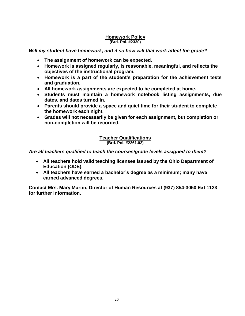#### **Homework Policy (Brd. Pol. #2330)**

#### *Will my student have homework, and if so how will that work affect the grade?*

- **The assignment of homework can be expected.**
- **Homework is assigned regularly, is reasonable, meaningful, and reflects the objectives of the instructional program.**
- **Homework is a part of the student's preparation for the achievement tests and graduation.**
- **All homework assignments are expected to be completed at home.**
- **Students must maintain a homework notebook listing assignments, due dates, and dates turned in.**
- **Parents should provide a space and quiet time for their student to complete the homework each night.**
- **Grades will not necessarily be given for each assignment, but completion or non-completion will be recorded.**

#### **Teacher Qualifications (Brd. Pol. #2261.02)**

*Are all teachers qualified to teach the courses/grade levels assigned to them?*

- **All teachers hold valid teaching licenses issued by the Ohio Department of Education (ODE).**
- **All teachers have earned a bachelor's degree as a minimum; many have earned advanced degrees.**

**Contact Mrs. Mary Martin, Director of Human Resources at (937) 854-3050 Ext 1123 for further information.**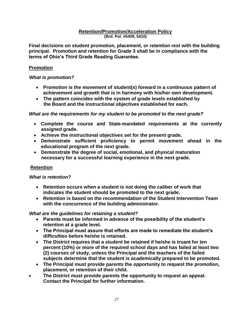#### **Retention/Promotion/Acceleration Policy (Brd. Pol. #5409, 5410)**

**Final decisions on student promotion, placement, or retention rest with the building principal. Promotion and retention for Grade 3 shall be in compliance with the terms of Ohio's Third Grade Reading Guarantee.** 

#### **Promotion**

#### *What is promotion?*

- **Promotion is the movement of student(s) forward in a continuous pattern of achievement and growth that is in harmony with his/her own development.**
- **The pattern coincides with the system of grade levels established by the Board and the instructional objectives established for each.**

#### *What are the requirements for my student to be promoted to the next grade?*

- **Complete the course and State-mandated requirements at the currently assigned grade.**
- **Achieve the instructional objectives set for the present grade.**
- **Demonstrate sufficient proficiency to permit movement ahead in the educational program of the next grade.**
- **Demonstrate the degree of social, emotional, and physical maturation necessary for a successful learning experience in the next grade.**

#### **Retention**

#### *What is retention?*

- **Retention occurs when a student is not doing the caliber of work that indicates the student should be promoted to the next grade.**
- **Retention is based on the recommendation of the Student Intervention Team with the concurrence of the building administrator.**

#### *What are the guidelines for retaining a student?*

- **Parents must be informed in advance of the possibility of the student's retention at a grade level.**
- **The Principal must assure that efforts are made to remediate the student's difficulties before he/she is retained.**
- **The District requires that a student be retained if he/she is truant for ten percent (10%) or more of the required school days and has failed at least two (2) courses of study, unless the Principal and the teachers of the failed subjects determine that the student is academically prepared to be promoted.**
- **The Principal must provide parents the opportunity to request the promotion, placement, or retention of their child.**
- **The District must provide parents the opportunity to request an appeal. Contact the Principal for further information.**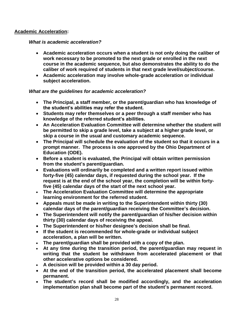#### **Academic Acceleration:**

#### *What is academic acceleration?*

- **Academic acceleration occurs when a student is not only doing the caliber of work necessary to be promoted to the next grade or enrolled in the next course in the academic sequence, but also demonstrates the ability to do the caliber of work required of students in that next grade level/subject/course.**
- **Academic acceleration may involve whole-grade acceleration or individual subject acceleration.**

#### *What are the guidelines for academic acceleration?*

- **The Principal, a staff member, or the parent/guardian who has knowledge of the student's abilities may refer the student.**
- **Students may refer themselves or a peer through a staff member who has knowledge of the referred student's abilities.**
- **An Acceleration Evaluation Committee will determine whether the student will be permitted to skip a grade level, take a subject at a higher grade level, or skip a course in the usual and customary academic sequence.**
- **The Principal will schedule the evaluation of the student so that it occurs in a prompt manner. The process is one approved by the Ohio Department of Education (ODE).**
- **Before a student is evaluated, the Principal will obtain written permission from the student's parent/guardian.**
- **Evaluations will ordinarily be completed and a written report issued within forty-five (45) calendar days, if requested during the school year. If the request is at the end of the school year, the completion will be within fortyfive (45) calendar days of the start of the next school year.**
- **The Acceleration Evaluation Committee will determine the appropriate learning environment for the referred student.**
- **Appeals must be made in writing to the Superintendent within thirty (30) calendar days of the parent/guardian receiving the Committee's decision.**
- **The Superintendent will notify the parent/guardian of his/her decision within thirty (30) calendar days of receiving the appeal.**
- **The Superintendent or his/her designee's decision shall be final.**
- **If the student is recommended for whole-grade or individual subject acceleration, a plan will be written.**
- **The parent/guardian shall be provided with a copy of the plan.**
- **At any time during the transition period, the parent/guardian may request in writing that the student be withdrawn from accelerated placement or that other accelerative options be considered.**
- **A decision will be provided within a 30 day period.**
- **At the end of the transition period, the accelerated placement shall become permanent.**
- **The student's record shall be modified accordingly, and the acceleration implementation plan shall become part of the student's permanent record.**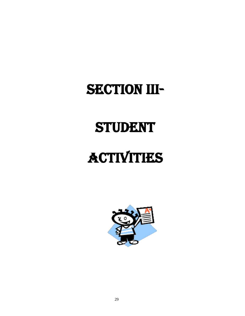## SECTION III-

# **STUDENT**

# **ACTIVITIES**

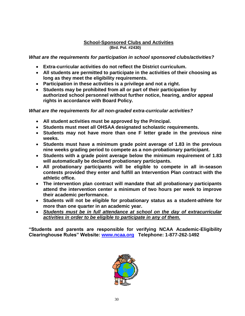#### **School-Sponsored Clubs and Activities (Brd. Pol. #2430)**

*What are the requirements for participation in school sponsored clubs/activities?*

- **Extra-curricular activities do not reflect the District curriculum.**
- **All students are permitted to participate in the activities of their choosing as long as they meet the eligibility requirements.**
- **Participation in these activities is a privilege and not a right.**
- **Students may be prohibited from all or part of their participation by authorized school personnel without further notice, hearing, and/or appeal rights in accordance with Board Policy.**

#### *What are the requirements for all non-graded extra-curricular activities?*

- **All student activities must be approved by the Principal.**
- **Students must meet all OHSAA designated scholastic requirements.**
- **Students may not have more than one F letter grade in the previous nine weeks.**
- **Students must have a minimum grade point average of 1.83 in the previous nine weeks grading period to compete as a non-probationary participant.**
- **Students with a grade point average below the minimum requirement of 1.83 will automatically be declared probationary participants.**
- **All probationary participants will be eligible to compete in all in-season contests provided they enter and fulfill an Intervention Plan contract with the athletic office.**
- **The intervention plan contract will mandate that all probationary participants attend the intervention center a minimum of two hours per week to improve their academic performance.**
- **Students will not be eligible for probationary status as a student-athlete for more than one quarter in an academic year.**
- *Students must be in full attendance at school on the day of extracurricular activities in order to be eligible to participate in any of them.*

**"Students and parents are responsible for verifying NCAA Academic-Eligibility Clearinghouse Rules" Website: [www.ncaa.org](http://www.ncaa.org/) Telephone: 1-877-262-1492**

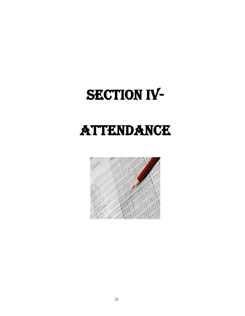# SECTION IV-

# Attendance

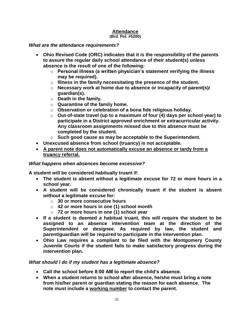#### **Attendance**

#### **(Brd. Pol. #5200)**

#### *What are the attendance requirements?*

- **Ohio Revised Code (ORC) indicates that it is the responsibility of the parents to assure the regular daily school attendance of their student(s) unless absence is the result of one of the following:**
	- o **Personal illness (a written physician's statement verifying the illness may be required).**
	- o **Illness in the family necessitating the presence of the student.**
	- o **Necessary work at home due to absence or incapacity of parent(s)/ guardian(s).**
	- o **Death in the family.**
	- o **Quarantine of the family home.**
	- o **Observation or celebration of a bona fide religious holiday.**
	- o **Out-of-state travel (up to a maximum of four (4) days per school year) to participate in a District approved enrichment or extracurricular activity. Any classroom assignments missed due to this absence must be completed by the student.**
	- o **Such good cause as may be acceptable to the Superintendent.**
- **Unexcused absence from school (truancy) is not acceptable.**
- **A parent note does not automatically excuse an absence or tardy from a truancy referral.**

#### *What happens when absences become excessive?*

**A student will be considered habitually truant if:**

- **The student is absent without a legitimate excuse for 72 or more hours in a school year.**
- **A student will be considered chronically truant if the student is absent without a legitimate excuse for:** 
	- o **30 or more consecutive hours**
	- o **42 or more hours in one (1) school month**
	- o **72 or more hours in one (1) school year**
- **If a student is deemed a habitual truant, this will require the student to be assigned to an absence intervention team at the direction of the Superintendent or designee. As required by law, the student and parent/guardian will be required to participate in the intervention plan.**
- **Ohio Law requires a compliant to be filed with the Montgomery County Juvenile Courts if the student fails to make satisfactory progress during the intervention plan.**

#### *What should I do if my student has a legitimate absence?*

- **Call the school before 8:00 AM to report the child's absence.**
- **When a student returns to school after absence, he/she must bring a note from his/her parent or guardian stating the reason for each absence. The note must include a working number to contact the parent.**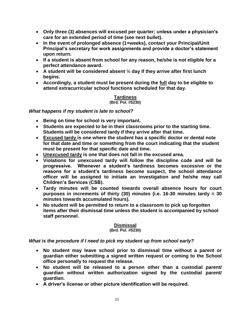- **Only three (3) absences will excused per quarter; unless under a physician's care for an extended period of time (see next bullet).**
- **In the event of prolonged absence (1+weeks), contact your Principal/Unit Principal's secretary for work assignments and provide a doctor's statement upon return.**
- **If a student is absent from school for any reason, he/she is not eligible for a perfect attendance award.**
- **A student will be considered absent ½ day if they arrive after first lunch begins.**
- **Accordingly, a student must be present during the full day to be eligible to attend extracurricular school functions scheduled for that day.**

#### **Tardiness (Brd. Pol. #5230)**

#### *What happens if my student is late to school?*

- **Being on time for school is very important.**
- **Students are expected to be in their classrooms prior to the starting time. Students will be considered tardy if they arrive after that time.**
- **Excused tardy is one where the student has a specific doctor or dental note for that date and time or something from the court indicating that the student must be present for that specific date and time.**
- **Unexcused tardy is one that does not fall in the excused area.**
- **Violations for unexcused tardy will follow the discipline code and will be progressive. Whenever a student's tardiness becomes excessive or the reasons for a student's tardiness become suspect, the school attendance officer will be assigned to initiate an investigation and he/she may call Children's Services (CSB).**
- **Tardy minutes will be counted towards overall absence hours for court purposes in increments of thirty (30) minutes (i.e. 16-30 minutes tardy = 30 minutes towards accumulated hours).**
- **No student will be permitted to return to a classroom to pick up forgotten items after their dismissal time unless the student is accompanied by school staff personnel.**

#### **Dismissal**

#### **(Brd. Pol. #5230)**

#### *What is the procedure if I need to pick my student up from school early?*

- **No student may leave school prior to dismissal time without a parent or guardian either submitting a signed written request or coming to the School office personally to request the release.**
- **No student will be released to a person other than a custodial parent/ guardian without written authorization signed by the custodial parent/ guardian.**
- **A driver's license or other picture identification will be required.**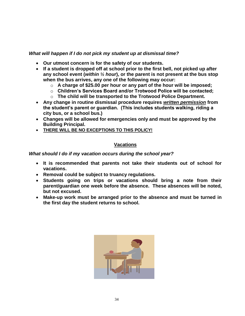#### *What will happen if I do not pick my student up at dismissal time?*

- **Our utmost concern is for the safety of our students.**
- **If a student is dropped off at school prior to the first bell, not picked up after any school event (***within ½ hour***), or the parent is not present at the bus stop when the bus arrives, any one of the following may occur:** 
	- o **A charge of \$25.00 per hour or any part of the hour will be imposed;**
	- o **Children's Services Board and/or Trotwood Police will be contacted;**
	- o **The child will be transported to the Trotwood Police Department.**
- **Any change in routine dismissal procedure requires** *written permission* **from the student's parent or guardian. (This includes students walking, riding a city bus, or a school bus.)**
- **Changes will be allowed for emergencies only and must be approved by the Building Principal.**
- **THERE WILL BE NO EXCEPTIONS TO THIS POLICY!**

#### **Vacations**

#### *What should I do if my vacation occurs during the school year?*

- **It is recommended that parents not take their students out of school for vacations.**
- **Removal could be subject to truancy regulations.**
- **Students going on trips or vacations should bring a note from their parent/guardian one week before the absence. These absences will be noted, but not excused.**
- **Make-up work must be arranged prior to the absence and must be turned in the first day the student returns to school.**

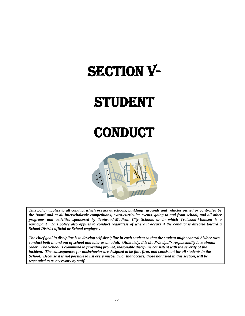# **SECTION V-**

# **STUDENT**

### **CONDUCT**



*This policy applies to all conduct which occurs at schools, buildings, grounds and vehicles owned or controlled by the Board and at all interscholastic competitions, extra-curricular events, going to and from school, and all other programs and activities sponsored by Trotwood-Madison City Schools or in which Trotwood-Madison is a participant. This policy also applies to conduct regardless of where it occurs if the conduct is directed toward a School District official or School employee.*

*The chief goal in discipline is to develop self-discipline in each student so that the student might control his/her own conduct both in and out of school and later as an adult. Ultimately, it is the Principal's responsibility to maintain order. The School is committed to providing prompt, reasonable discipline consistent with the severity of the incident. The consequences for misbehavior are designed to be fair, firm, and consistent for all students in the School. Because it is not possible to list every misbehavior that occurs, those not listed in this section, will be responded to as necessary by staff.*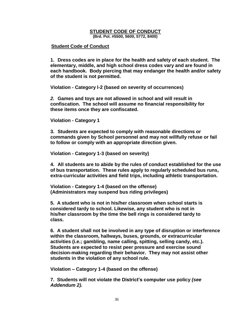#### **STUDENT CODE OF CONDUCT**

**(Brd. Pol. #5500, 5600, 5772, 8400)**

#### **Student Code of Conduct**

**1. Dress codes are in place for the health and safety of each student. The elementary, middle, and high school dress codes vary and are found in each handbook***.* **Body piercing that may endanger the health and/or safety of the student is not permitted.**

**Violation - Category l-2 (based on severity of occurrences)**

*2.* **Games and toys are not allowed in school and will result in confiscation. The school will assume no financial responsibility for these items once they are confiscated.**

**Violation - Category 1**

**3. Students are expected to comply with reasonable directions or commands given by School personnel and may not willfully refuse or fail to follow or comply with an appropriate direction given.** 

**Violation - Category 1-3 (based on severity)**

**4. All students are to abide by the rules of conduct established for the use of bus transportation***.* **These rules apply to regularly scheduled bus runs, extra-curricular activities and field trips, including athletic transportation.**

**Violation - Category 1-4 (based on the offense) (Administrators may suspend bus riding privileges)**

**5. A student who is not in his/her classroom when school starts is considered tardy to school. Likewise, any student who is not in his/her classroom by the time the bell rings is considered tardy to class.** 

**6. A student shall not be involved in any type of disruption or interference within the classroom, hallways, buses, grounds, or extracurricular activities (i.e.; gambling, name calling, spitting, selling candy, etc.). Students are expected to resist peer pressure and exercise sound decision-making regarding their behavior. They may not assist other students in the violation of any school rule.** 

**Violation – Category 1-4 (based on the offense)**

**7. Students will not violate the District's computer use policy** *(see Addendum 2).*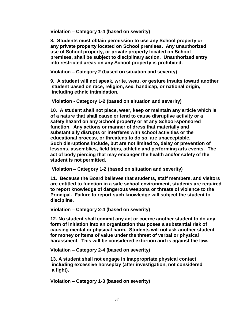**Violation – Category 1-4 (based on severity)**

**8. Students must obtain permission to use any School property or any private property located on School premises. Any unauthorized use of School property, or private property located on School premises, shall be subject to disciplinary action. Unauthorized entry into restricted areas on any School property is prohibited.**

**Violation – Category 2 (based on situation and severity)**

**9. A student will not speak, write, wear, or gesture insults toward another student based on race, religion, sex, handicap, or national origin, including ethnic intimidation.** 

**Violation - Category 1-2 (based on situation and severity)**

**10. A student shall not place, wear, keep or maintain any article which is of a nature that shall cause or tend to cause disruptive activity or a safety hazard on any School property or at any School-sponsored function. Any actions or manner of dress that materially and substantially disrupts or interferes with school activities or the educational process, or threatens to do so, are unacceptable. Such disruptions include, but are not limited to, delay or prevention of lessons, assemblies, field trips, athletic and performing arts events. The act of body piercing that may endanger the health and/or safety of the student is not permitted.** 

**Violation – Category 1-2 (based on situation and severity)**

**11. Because the Board believes that students, staff members, and visitors are entitled to function in a safe school environment, students are required to report knowledge of dangerous weapons or threats of violence to the Principal. Failure to report such knowledge will subject the student to discipline.** 

**Violation – Category 2-4 (based on severity)**

**12. No student shall commit any act or coerce another student to do any form of initiation into an organization that poses a substantial risk of causing mental or physical harm. Students will not ask another student for money or items of value under the threat of verbal or physical harassment. This will be considered extortion and is against the law.**

**Violation – Category 2-4 (based on severity)**

**13. A student shall not engage in inappropriate physical contact including excessive horseplay (after investigation, not considered a fight).** 

**Violation – Category 1-3 (based on severity)**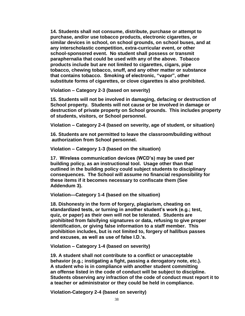**14. Students shall not consume, distribute, purchase or attempt to purchase, and/or use tobacco products, electronic cigarettes, or similar devices in school, on school grounds, on school buses, and at any interscholastic competition, extra-curricular event, or other school-sponsored event. No student shall possess or transmit paraphernalia that could be used with any of the above. Tobacco products include but are not limited to cigarettes, cigars, pipe tobacco, chewing tobacco, snuff, and any other matter or substance that contains tobacco. Smoking of electronic, "vapor", other substitute forms of cigarettes, or clove cigarettes is also prohibited.** 

**Violation – Category 2-3 (based on severity)**

**15. Students will not be involved in damaging, defacing or destruction of School property. Students will not cause or be involved in damage or destruction of private property on School grounds. This includes property of students, visitors, or School personnel.** 

**Violation – Category 2-4 (based on severity, age of student, or situation)**

**16. Students are not permitted to leave the classroom/building without authorization from School personnel.** 

**Violation – Category 1-3 (based on the situation)**

**17. Wireless communication devices (WCD's) may be used per building policy, as an instructional tool. Usage other than that outlined in the building policy could subject students to disciplinary consequences. The School will assume no financial responsibility for these items if it becomes necessary to confiscate them (See Addendum 3).**

**Violation—Category 1-4 (based on the situation)**

**18. Dishonesty in the form of forgery, plagiarism, cheating on standardized tests, or turning in another student's work (e.g.; test, quiz, or paper) as their own will not be tolerated. Students are prohibited from falsifying signatures or data, refusing to give proper identification, or giving false information to a staff member. This prohibition includes, but is not limited to, forgery of hall/bus passes and excuses, as well as use of false I.D.'s.**

**Violation – Category 1-4 (based on severity)**

**19. A student shall not contribute to a conflict or unacceptable behavior (e.g.; instigating a fight, passing a derogatory note, etc.). A student who is in compliance with another student committing an offense listed in the code of conduct will be subject to discipline. Students observing any infraction of the code of conduct must report it to a teacher or administrator or they could be held in compliance.**

**Violation-Category 2-4 (based on severity)**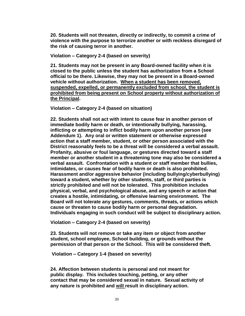**20. Students will not threaten, directly or indirectly, to commit a crime of violence with the purpose to terrorize another or with reckless disregard of the risk of causing terror in another.** 

**Violation – Category 2-4 (based on severity)**

**21. Students may not be present in any Board-owned facility when it is closed to the public unless the student has authorization from a School official to be there. Likewise, they may not be present in a Board-owned vehicle without authorization. When a student has been removed, suspended, expelled, or permanently excluded from school, the student is prohibited from being present on School property without authorization of the Principal.** 

**Violation – Category 2-4 (based on situation)** 

**22. Students shall not act with intent to cause fear in another person of immediate bodily harm or death, or intentionally bullying, harassing, inflicting or attempting to inflict bodily harm upon another person (see Addendum 1). Any oral or written statement or otherwise expressed action that a staff member, student, or other person associated with the District reasonably feels to be a threat will be considered a verbal assault. Profanity, abusive or foul language, or gestures directed toward a staff member or another student in a threatening tone may also be considered a verbal assault. Confrontation with a student or staff member that bullies, intimidates, or causes fear of bodily harm or death is also prohibited. Harassment and/or aggressive behavior (including bullying/cyberbullying) toward a student, whether by other students, staff, or third parties is strictly prohibited and will not be tolerated. This prohibition includes physical, verbal, and psychological abuse, and any speech or action that creates a hostile, intimidating, or offensive learning environment. The Board will not tolerate any gestures, comments, threats, or actions which cause or threaten to cause bodily harm or personal degradation. Individuals engaging in such conduct will be subject to disciplinary action.** 

**Violation – Category 2-4 (based on severity)**

**23. Students will not remove or take any item or object from another student, school employee, School building, or grounds without the permission of that person or the School. This will be considered theft.** 

**Violation – Category 1-4 (based on severity)** 

**24. Affection between students is personal and not meant for public display. This includes touching, petting, or any other contact that may be considered sexual in nature. Sexual activity of any nature is prohibited and will result in disciplinary action.**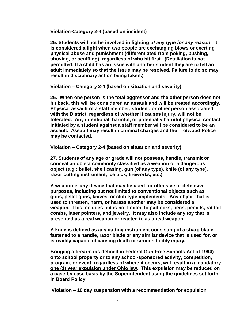**Violation-Category 2-4 (based on incident)**

**25. Students will not be involved in fighting** *of any type for any reason***. It is considered a fight when two people are exchanging blows or exerting physical abuse and punishment (differentiated from poking, pushing, shoving, or scuffling), regardless of who hit first. (Retaliation is not permitted. If a child has an issue with another student they are to tell an adult immediately so that the issue may be resolved. Failure to do so may result in disciplinary action being taken.)**

**Violation – Category 2-4 (based on situation and severity)**

**26. When one person is the total aggressor and the other person does not hit back, this will be considered an assault and will be treated accordingly. Physical assault of a staff member, student, or other person associated with the District, regardless of whether it causes injury, will not be tolerated. Any intentional, harmful, or potentially harmful physical contact initiated by a student against a staff member will be considered to be an assault. Assault may result in criminal charges and the Trotwood Police may be contacted.**

**Violation – Category 2-4 (based on situation and severity)**

**27. Students of any age or grade will not possess, handle, transmit or conceal an object commonly classified as a weapon or a dangerous object (e.g.; bullet, shell casing, gun (of any type), knife (of any type), razor cutting instrument, ice pick, fireworks, etc.).**

**A weapon is any device that may be used for offensive or defensive purposes, including but not limited to conventional objects such as guns, pellet guns, knives, or club type implements. Any object that is used to threaten, harm, or harass another may be considered a weapon. This includes but is not limited to padlocks, pens, pencils, rat tail combs, laser pointers, and jewelry. It may also include any toy that is presented as a real weapon or reacted to as a real weapon.** 

**A knife is defined as any cutting instrument consisting of a sharp blade fastened to a handle, razor blade or any similar device that is used for, or is readily capable of causing death or serious bodily injury.** 

**Bringing a firearm (as defined in Federal Gun-Free Schools Act of 1994) onto school property or to any school-sponsored activity, competition, program, or event, regardless of where it occurs, will result in a mandatory one (1) year expulsion under Ohio law. This expulsion may be reduced on a case-by-case basis by the Superintendent using the guidelines set forth in Board Policy.** 

 **Violation – 10 day suspension with a recommendation for expulsion**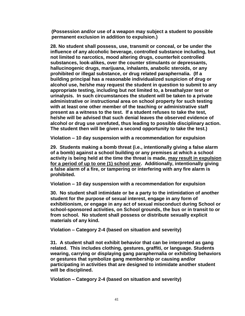**(Possession and/or use of a weapon may subject a student to possible permanent exclusion in addition to expulsion.)**

**28. No student shall possess, use, transmit or conceal, or be under the influence of any alcoholic beverage, controlled substance including, but not limited to narcotics, mood altering drugs, counterfeit controlled substances, look-alikes, over the counter stimulants or depressants, hallucinogenic drugs, marijuana, inhalants, anabolic steroids, or any prohibited or illegal substance, or drug related paraphernalia. (If a building principal has a reasonable individualized suspicion of drug or alcohol use, he/she may request the student in question to submit to any appropriate testing, including but not limited to, a breathalyzer test or urinalysis. In such circumstances the student will be taken to a private administrative or instructional area on school property for such testing with at least one other member of the teaching or administrative staff present as a witness to the test. If a student refuses to take the test, he/she will be advised that such denial leaves the observed evidence of alcohol or drug use unrefuted, thus leading to possible disciplinary action. The student then will be given a second opportunity to take the test.)**

**Violation – 10 day suspension with a recommendation for expulsion**

**29. Students making a bomb threat (i.e., intentionally giving a false alarm of a bomb) against a school building or any premises at which a school activity is being held at the time the threat is made, may result in expulsion for a period of up to one (1) school year. Additionally, intentionally giving a false alarm of a fire, or tampering or interfering with any fire alarm is prohibited.** 

**Violation – 10 day suspension with a recommendation for expulsion**

**30. No student shall intimidate or be a party to the intimidation of another student for the purpose of sexual interest, engage in any form of exhibitionism, or engage in any act of sexual misconduct during School or school-sponsored activities, on School grounds, the bus or in transit to or from school. No student shall possess or distribute sexually explicit materials of any kind.** 

**Violation – Category 2-4 (based on situation and severity)**

**31. A student shall not exhibit behavior that can be interpreted as gang related. This includes clothing, gestures, graffiti, or language. Students wearing, carrying or displaying gang paraphernalia or exhibiting behaviors or gestures that symbolize gang membership or causing and/or participating in activities that are designed to intimidate another student will be disciplined.** 

**Violation – Category 2-4 (based on situation and severity)**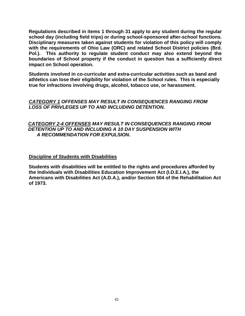**Regulations described in items 1 through 31 apply to any student during the regular school day (including field trips) or during school-sponsored after-school functions. Disciplinary measures taken against students for violation of this policy will comply with the requirements of Ohio Law (ORC) and related School District policies (Brd. Pol.). This authority to regulate student conduct may also extend beyond the boundaries of School property if the conduct in question has a sufficiently direct impact on School operation.**

**Students involved in co-curricular and extra-curricular activities such as band and athletics can lose their eligibility for violation of the School rules. This is especially true for infractions involving drugs, alcohol, tobacco use, or harassment.**

*CATEGORY 1 OFFENSES MAY RESULT IN CONSEQUENCES RANGING FROM LOSS OF PRIVLEGES UP TO AND INCLUDING DETENTION.*

#### *CATEGORY 2-4 OFFENSES MAY RESULT IN CONSEQUENCES RANGING FROM DETENTION UP TO AND INCLUDING A 10 DAY SUSPENSION WITH A RECOMMENDATION FOR EXPULSION***.**

#### **Discipline of Students with Disabilities**

**Students with disabilities will be entitled to the rights and procedures afforded by the Individuals with Disabilities Education Improvement Act (I.D.E.I.A.), the Americans with Disabilities Act (A.D.A.), and/or Section 504 of the Rehabilitation Act of 1973.**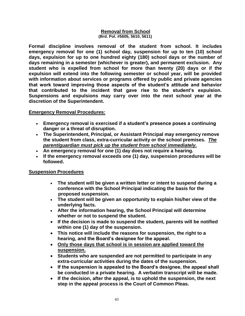#### **Removal from School (Brd. Pol. #5605, 5610, 5611)**

**Formal discipline involves removal of the student from school. It includes emergency removal for one (1) school day, suspension for up to ten (10) school days, expulsion for up to one hundred eighty (180) school days or the number of days remaining in a semester (whichever is greater), and permanent exclusion. Any student who is expelled from school for more than twenty (20) days or if the expulsion will extend into the following semester or school year, will be provided with information about services or programs offered by public and private agencies that work toward improving those aspects of the student's attitude and behavior that contributed to the incident that gave rise to the student's expulsion. Suspensions and expulsions may carry over into the next school year at the discretion of the Superintendent.**

#### **Emergency Removal Procedures:**

- **Emergency removal is exercised if a student's presence poses a continuing danger or a threat of disruption.**
- **The Superintendent, Principal, or Assistant Principal may emergency remove the student from class, extra-curricular activity or the school premises.** *The parent/guardian must pick up the student from school immediately.*
- **An emergency removal for one (1) day does not require a hearing.**
- **If the emergency removal exceeds one (1) day, suspension procedures will be followed.**

#### **Suspension Procedures**

- **The student will be given a written letter or intent to suspend during a conference with the School Principal indicating the basis for the proposed suspension.**
- **The student will be given an opportunity to explain his/her view of the underlying facts.**
- **After the information hearing, the School Principal will determine whether or not to suspend the student.**
- **If the decision is made to suspend the student, parents will be notified within one (1) day of the suspension.**
- **This notice will include the reasons for suspension, the right to a hearing, and the Board's designee for the appeal.**
- **Only those days that school is in session are applied toward the suspension.**
- **Students who are suspended are not permitted to participate in any extra-curricular activities during the dates of the suspension.**
- **If the suspension is appealed to the Board's designee, the appeal shall be conducted in a private hearing. A verbatim transcript will be made.**
- **If the decision, after the appeal, is to uphold the suspension, the next step in the appeal process is the Court of Common Pleas.**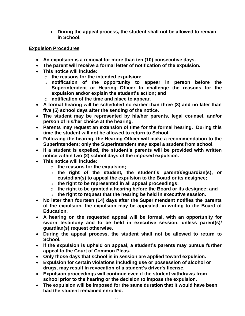**During the appeal process, the student shall not be allowed to remain in School.** 

#### **Expulsion Procedures**

- **An expulsion is a removal for more than ten (10) consecutive days.**
- **The parent will receive a formal letter of notification of the expulsion.**
- **This notice will include:**
	- o **the reasons for the intended expulsion;**
	- o **notification of the opportunity to appear in person before the Superintendent or Hearing Officer to challenge the reasons for the expulsion and/or explain the student's action; and**
	- o **notification of the time and place to appear.**
- **A formal hearing will be scheduled no earlier than three (3) and no later than five (5) school days after the sending of the notice.**
- **The student may be represented by his/her parents, legal counsel, and/or person of his/her choice at the hearing.**
- **Parents may request an extension of time for the formal hearing. During this time the student will not be allowed to return to School.**
- **Following the hearing, the Hearing Officer will make a recommendation to the Superintendent; only the Superintendent may expel a student from school.**
- **If a student is expelled, the student's parents will be provided with written notice within two (2) school days of the imposed expulsion.**
- **This notice will include:**
	- o **the reasons for the expulsion;**
	- o **the right of the student, the student's parent(s)/guardian(s), or custodian(s) to appeal the expulsion to the Board or its designee;**
	- o **the right to be represented in all appeal proceedings;**
	- o **the right to be granted a hearing before the Board or its designee; and**
	- o **the right to request that the hearing be held in executive session.**
- **No later than fourteen (14) days after the Superintendent notifies the parents of the expulsion, the expulsion may be appealed, in writing to the Board of Education.**
- **A hearing on the requested appeal will be formal, with an opportunity for sworn testimony and to be held in executive session, unless parent(s)/ guardian(s) request otherwise.**
- **During the appeal process, the student shall not be allowed to return to School.**
- **If the expulsion is upheld on appeal, a student's parents may pursue further appeal to the Court of Common Pleas.**
- **Only those days that school is in session are applied toward expulsion.**
- **Expulsion for certain violations including use or possession of alcohol or drugs, may result in revocation of a student's driver's license.**
- **Expulsion proceedings will continue even if the student withdraws from school prior to the hearing or the decision to impose the expulsion.**
- **The expulsion will be imposed for the same duration that it would have been had the student remained enrolled.**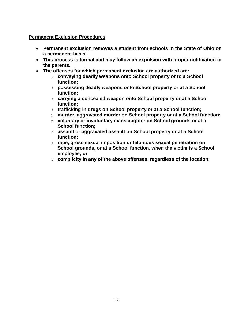#### **Permanent Exclusion Procedures**

- **Permanent exclusion removes a student from schools in the State of Ohio on a permanent basis.**
- **This process is formal and may follow an expulsion with proper notification to the parents.**
- **The offenses for which permanent exclusion are authorized are:**
	- o **conveying deadly weapons onto School property or to a School function;**
	- o **possessing deadly weapons onto School property or at a School function;**
	- o **carrying a concealed weapon onto School property or at a School function;**
	- o **trafficking in drugs on School property or at a School function;**
	- o **murder, aggravated murder on School property or at a School function;**
	- o **voluntary or involuntary manslaughter on School grounds or at a School function;**
	- o **assault or aggravated assault on School property or at a School function;**
	- o **rape, gross sexual imposition or felonious sexual penetration on School grounds, or at a School function, when the victim is a School employee; or**
	- o **complicity in any of the above offenses, regardless of the location.**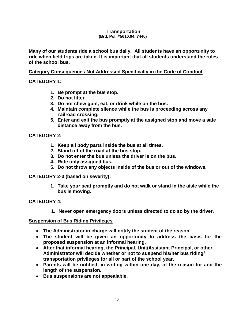#### **Transportation (Brd. Pol. #5610.04, 7440)**

**Many of our students ride a school bus daily. All students have an opportunity to ride when field trips are taken. It is important that all students understand the rules of the school bus.** 

#### **Category Consequences Not Addressed Specifically in the Code of Conduct** Ξ

**CATEGORY 1:**

- **1. Be prompt at the bus stop.**
- **2. Do not litter.**
- **3. Do not chew gum, eat, or drink while on the bus.**
- **4. Maintain complete silence while the bus is proceeding across any railroad crossing.**
- **5. Enter and exit the bus promptly at the assigned stop and move a safe distance away from the bus.**

#### **CATEGORY 2:**

- **1. Keep all body parts inside the bus at all times.**
- **2. Stand off of the road at the bus stop.**
- **3. Do not enter the bus unless the driver is on the bus.**
- **4. Ride only assigned bus.**
- **5. Do not throw any objects inside of the bus or out of the windows.**

**CATEGORY 2-3 (based on severity):**

**1. Take your seat promptly and do not walk or stand in the aisle while the bus is moving.**

#### **CATEGORY 4:**

**1. Never open emergency doors unless directed to do so by the driver.**

#### **Suspension of Bus Riding Privileges**

- **The Administrator in charge will notify the student of the reason.**
- **The student will be given an opportunity to address the basis for the proposed suspension at an informal hearing.**
- **After that informal hearing, the Principal, Unit/Assistant Principal, or other Administrator will decide whether or not to suspend his/her bus riding/ transportation privileges for all or part of the school year.**
- **Parents will be notified, in writing within one day, of the reason for and the length of the suspension.**
- **Bus suspensions are not appealable.**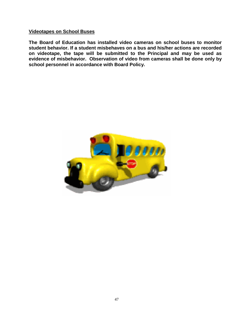#### **Videotapes on School Buses**

**The Board of Education has installed video cameras on school buses to monitor student behavior. If a student misbehaves on a bus and his/her actions are recorded on videotape, the tape will be submitted to the Principal and may be used as evidence of misbehavior. Observation of video from cameras shall be done only by school personnel in accordance with Board Policy.**

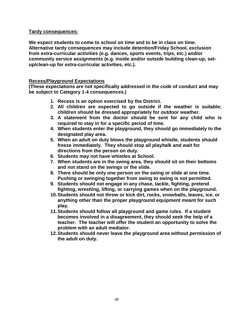#### **Tardy consequences:**

**We expect students to come to school on time and to be in class on time. Alternative tardy consequences may include detention/Friday School, exclusion from extra-curricular activities (e.g. dances, sports events, trips, etc.) and/or community service assignments (e.g. inside and/or outside building clean-up, setup/clean-up for extra-curricular activities, etc.).**

#### **Recess/Playground Expectations**

**(These expectations are not specifically addressed in the code of conduct and may be subject to Category 1-4 consequences.)**

- **1. Recess is an option exercised by the District.**
- **2. All children are expected to go outside if the weather is suitable; children should be dressed appropriately for outdoor weather.**
- **3. A statement from the doctor should be sent for any child who is required to stay in for a specific period of time.**
- **4. When students enter the playground, they should go immediately to the designated play area.**
- **5. When an adult on duty blows the playground whistle, students should freeze immediately. They should stop all play/talk and wait for directions from the person on duty.**
- **6. Students may not have whistles at School.**
- **7. When students are in the swing area, they should sit on their bottoms and not stand on the swings or the slide.**
- **8. There should be only one person on the swing or slide at one time. Pushing or swinging together from swing to swing is not permitted.**
- **9. Students should not engage in any chase, tackle, fighting, pretend fighting, wrestling, lifting, or carrying games when on the playground.**
- **10.Students should not throw or kick dirt, rocks, snowballs, leaves, ice, or anything other than the proper playground equipment meant for such play.**
- **11.Students should follow all playground and game rules. If a student becomes involved in a disagreement, they should seek the help of a teacher. The teacher will offer the student an opportunity to solve the problem with an adult mediator.**
- **12.Students should never leave the playground area without permission of the adult on duty.**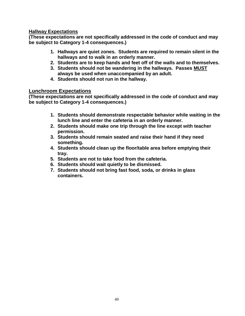#### **Hallway Expectations**

**(These expectations are not specifically addressed in the code of conduct and may be subject to Category 1-4 consequences.)**

- **1. Hallways are quiet zones. Students are required to remain silent in the hallways and to walk in an orderly manner.**
- **2. Students are to keep hands and feet off of the walls and to themselves.**
- **3. Students should not be wandering in the hallways. Passes MUST always be used when unaccompanied by an adult.**
- **4. Students should not run in the hallway.**

#### **Lunchroom Expectations**

**(These expectations are not specifically addressed in the code of conduct and may be subject to Category 1-4 consequences.)**

- **1. Students should demonstrate respectable behavior while waiting in the lunch line and enter the cafeteria in an orderly manner.**
- **2. Students should make one trip through the line except with teacher permission.**
- **3. Students should remain seated and raise their hand if they need something.**
- **4. Students should clean up the floor/table area before emptying their tray.**
- **5. Students are not to take food from the cafeteria.**
- **6. Students should wait quietly to be dismissed.**
- **7. Students should not bring fast food, soda, or drinks in glass containers.**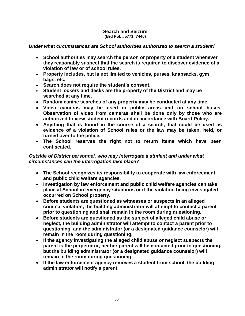#### **Search and Seizure (Brd Pol. #5771, 7440)**

#### *Under what circumstances are School authorities authorized to search a student?*

- **School authorities may search the person or property of a student whenever they reasonably suspect that the search is required to discover evidence of a violation of law or of school rules.**
- **Property includes, but is not limited to vehicles, purses, knapsacks, gym bags, etc.**
- **Search does not require the student's consent.**
- **Student lockers and desks are the property of the District and may be searched at any time.**
- **Random canine searches of any property may be conducted at any time.**
- **Video cameras may be used in public areas and on school buses. Observation of video from cameras shall be done only by those who are authorized to view student records and in accordance with Board Policy.**
- **Anything that is found in the course of a search, that could be used as evidence of a violation of School rules or the law may be taken, held, or turned over to the police.**
- **The School reserves the right not to return items which have been confiscated.**

#### *Outside of District personnel, who may interrogate a student and under what circumstances can the interrogation take place?*

- **The School recognizes its responsibility to cooperate with law enforcement and public child welfare agencies.**
- **Investigation by law enforcement and public child welfare agencies can take place at School in emergency situations or if the violation being investigated occurred on School property.**
- **Before students are questioned as witnesses or suspects in an alleged criminal violation, the building administrator will attempt to contact a parent prior to questioning and shall remain in the room during questioning.**
- **Before students are questioned as the subject of alleged child abuse or neglect, the building administrator will attempt to contact a parent prior to questioning, and the administrator (or a designated guidance counselor) will remain in the room during questioning.**
- **If the agency investigating the alleged child abuse or neglect suspects the parent is the perpetrator, neither parent will be contacted prior to questioning, but the building administrator (or a designated guidance counselor) will remain in the room during questioning.**
- **If the law enforcement agency removes a student from school, the building administrator will notify a parent.**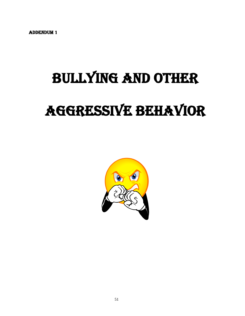Addendum 1

# bullying and other aggressive behavior

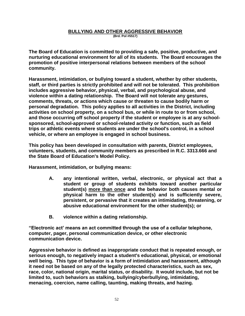#### **BULLYING AND OTHER AGGRESSIVE BEHAVIOR (Brd. Pol #5517)**

**The Board of Education is committed to providing a safe, positive, productive, and nurturing educational environment for all of its students. The Board encourages the promotion of positive interpersonal relations between members of the school community.**

**Harassment, intimidation, or bullying toward a student, whether by other students, staff, or third parties is strictly prohibited and will not be tolerated. This prohibition includes aggressive behavior, physical, verbal, and psychological abuse, and violence within a dating relationship. The Board will not tolerate any gestures, comments, threats, or actions which cause or threaten to cause bodily harm or personal degradation. This policy applies to all activities in the District, including activities on school property, on a school bus, or while in route to or from school, and those occurring off school property if the student or employee is at any schoolsponsored, school-approved or school-related activity or function, such as field trips or athletic events where students are under the school's control, in a school vehicle, or where an employee is engaged in school business.**

**This policy has been developed in consultation with parents, District employees, volunteers, students, and community members as prescribed in R.C. 3313.666 and the State Board of Education's Model Policy.**

**Harassment, intimidation, or bullying means:** 

- **A. any intentional written, verbal, electronic, or physical act that a student or group of students exhibits toward another particular student(s) more than once and the behavior both causes mental or physical harm to the other student(s) and is sufficiently severe, persistent, or pervasive that it creates an intimidating, threatening, or abusive educational environment for the other student(s); or**
- **B. violence within a dating relationship.**

**"Electronic act' means an act committed through the use of a cellular telephone, computer, pager, personal communication device, or other electronic communication device.**

**Aggressive behavior is defined as inappropriate conduct that is repeated enough, or serious enough, to negatively impact a student's educational, physical, or emotional well being. This type of behavior is a form of intimidation and harassment, although it need not be based on any of the legally protected characteristics, such as sex, race, color, national origin, marital status, or disability. It would include, but not be limited to, such behaviors as stalking, bullying/cyberbullying, intimidating, menacing, coercion, name calling, taunting, making threats, and hazing.**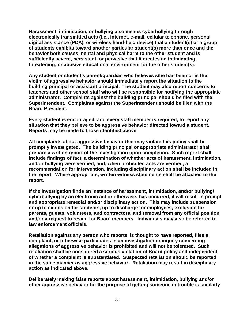**Harassment, intimidation, or bullying also means cyberbullying through electronically transmitted acts (i.e., internet, e-mail, cellular telephone, personal digital assistance (PDA), or wireless hand-held device) that a student(s) or a group of students exhibits toward another particular student(s) more than once and the behavior both causes mental and physical harm to the other student and is sufficiently severe, persistent, or pervasive that it creates an intimidating, threatening, or abusive educational environment for the other student(s).**

**Any student or student's parent/guardian who believes s/he has been or is the victim of aggressive behavior should immediately report the situation to the building principal or assistant principal. The student may also report concerns to teachers and other school staff who will be responsible for notifying the appropriate administrator. Complaints against the building principal should be filed with the Superintendent. Complaints against the Superintendent should be filed with the Board President.**

**Every student is encouraged, and every staff member is required, to report any situation that they believe to be aggressive behavior directed toward a student. Reports may be made to those identified above.**

**All complaints about aggressive behavior that may violate this policy shall be promptly investigated. The building principal or appropriate administrator shall prepare a written report of the investigation upon completion. Such report shall include findings of fact, a determination of whether acts of harassment, intimidation, and/or bullying were verified, and, when prohibited acts are verified, a recommendation for intervention, including disciplinary action shall be included in the report. Where appropriate, written witness statements shall be attached to the report.**

**If the investigation finds an instance of harassment, intimidation, and/or bullying/ cyberbullying by an electronic act or otherwise, has occurred, it will result in prompt and appropriate remedial and/or disciplinary action. This may include suspension or up to expulsion for students, up to discharge for employees, exclusion for parents, guests, volunteers, and contractors, and removal from any official position and/or a request to resign for Board members. Individuals may also be referred to law enforcement officials.**

**Retaliation against any person who reports, is thought to have reported, files a complaint, or otherwise participates in an investigation or inquiry concerning allegations of aggressive behavior is prohibited and will not be tolerated. Such retaliation shall be considered a serious violation of Board policy and independent of whether a complaint is substantiated. Suspected retaliation should be reported in the same manner as aggressive behavior. Retaliation may result in disciplinary action as indicated above.**

**Deliberately making false reports about harassment, intimidation, bullying and/or other aggressive behavior for the purpose of getting someone in trouble is similarly**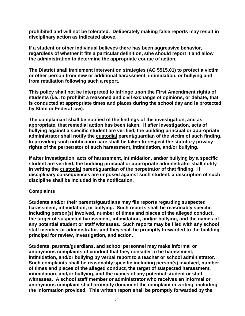**prohibited and will not be tolerated. Deliberately making false reports may result in disciplinary action as indicated above.** 

**If a student or other individual believes there has been aggressive behavior, regardless of whether it fits a particular definition, s/he should report it and allow the administration to determine the appropriate course of action.**

**The District shall implement intervention strategies (AG 5515.01) to protect a victim or other person from new or additional harassment, intimidation, or bullying and from retaliation following such a report.** 

**This policy shall not be interpreted to infringe upon the First Amendment rights of students (i.e., to prohibit a reasoned and civil exchange of opinions, or debate, that is conducted at appropriate times and places during the school day and is protected by State or Federal law).**

**The complainant shall be notified of the findings of the investigation, and as appropriate, that remedial action has been taken. If after investigation, acts of bullying against a specific student are verified, the building principal or appropriate administrator shall notify the custodial parent/guardian of the victim of such finding. In providing such notification care shall be taken to respect the statutory privacy rights of the perpetrator of such harassment, intimidation, and/or bullying.**

**If after investigation, acts of harassment, intimidation, and/or bullying by a specific student are verified, the building principal or appropriate administrator shall notify in writing the custodial parent/guardian of the perpetrator of that finding. If disciplinary consequences are imposed against such student, a description of such discipline shall be included in the notification.**

#### **Complaints**

**Students and/or their parents/guardians may file reports regarding suspected harassment, intimidation, or bullying. Such reports shall be reasonably specific including person(s) involved, number of times and places of the alleged conduct, the target of suspected harassment, intimidation, and/or bullying, and the names of any potential student or staff witnesses. Such reports may be filed with any school staff member or administrator, and they shall be promptly forwarded to the building principal for review, investigation, and action.**

**Students, parents/guardians, and school personnel may make informal or anonymous complaints of conduct that they consider to be harassment, intimidation, and/or bullying by verbal report to a teacher or school administrator. Such complaints shall be reasonably specific including person(s) involved, number of times and places of the alleged conduct, the target of suspected harassment, intimidation, and/or bullying, and the names of any potential student or staff witnesses. A school staff member or administrator who receives an informal or anonymous complaint shall promptly document the complaint in writing, including the information provided. This written report shall be promptly forwarded by the**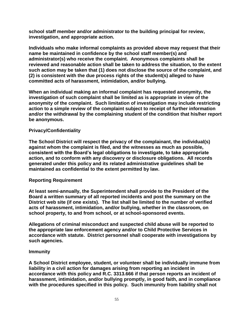**school staff member and/or administrator to the building principal for review, investigation, and appropriate action.**

**Individuals who make informal complaints as provided above may request that their name be maintained in confidence by the school staff member(s) and administrator(s) who receive the complaint. Anonymous complaints shall be reviewed and reasonable action shall be taken to address the situation, to the extent such action may be taken that (1) does not disclose the source of the complaint, and (2) is consistent with the due process rights of the student(s) alleged to have committed acts of harassment, intimidation, and/or bullying.**

**When an individual making an informal complaint has requested anonymity, the investigation of such complaint shall be limited as is appropriate in view of the anonymity of the complaint. Such limitation of investigation may include restricting action to a simple review of the complaint subject to receipt of further information and/or the withdrawal by the complaining student of the condition that his/her report be anonymous.**

#### **Privacy/Confidentiality**

**The School District will respect the privacy of the complainant, the individual(s) against whom the complaint is filed, and the witnesses as much as possible, consistent with the Board's legal obligations to investigate, to take appropriate action, and to conform with any discovery or disclosure obligations. All records generated under this policy and its related administrative guidelines shall be maintained as confidential to the extent permitted by law.**

#### **Reporting Requirement**

**At least semi-annually, the Superintendent shall provide to the President of the Board a written summary of all reported incidents and post the summary on the District web site (if one exists). The list shall be limited to the number of verified acts of harassment, intimidation, and/or bullying, whether in the classroom, on school property, to and from school, or at school-sponsored events.**

**Allegations of criminal misconduct and suspected child abuse will be reported to the appropriate law enforcement agency and/or to Child Protective Services in accordance with statute. District personnel shall cooperate with investigations by such agencies.**

#### **Immunity**

**A School District employee, student, or volunteer shall be individually immune from liability in a civil action for damages arising from reporting an incident in accordance with this policy and R.C. 3313.666 if that person reports an incident of harassment, intimidation, and/or bullying promptly, in good faith, and in compliance with the procedures specified in this policy. Such immunity from liability shall not**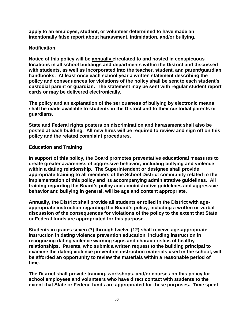**apply to an employee, student, or volunteer determined to have made an intentionally false report about harassment, intimidation, and/or bullying.**

#### **Notification**

**Notice of this policy will be annually circulated to and posted in conspicuous locations in all school buildings and departments within the District and discussed with students, as well as incorporated into the teacher, student, and parent/guardian handbooks. At least once each school year a written statement describing the policy and consequences for violations of the policy shall be sent to each student's custodial parent or guardian. The statement may be sent with regular student report cards or may be delivered electronically.**

**The policy and an explanation of the seriousness of bullying by electronic means shall be made available to students in the District and to their custodial parents or guardians.**

**State and Federal rights posters on discrimination and harassment shall also be posted at each building. All new hires will be required to review and sign off on this policy and the related complaint procedures.**

#### **Education and Training**

**In support of this policy, the Board promotes preventative educational measures to create greater awareness of aggressive behavior, including bullying and violence within a dating relationship. The Superintendent or designee shall provide appropriate training to all members of the School District community related to the implementation of this policy and its accompanying administrative guidelines. All training regarding the Board's policy and administrative guidelines and aggressive behavior and bullying in general, will be age and content appropriate.**

**Annually, the District shall provide all students enrolled in the District with ageappropriate instruction regarding the Board's policy, including a written or verbal discussion of the consequences for violations of the policy to the extent that State or Federal funds are appropriated for this purpose.** 

**Students in grades seven (7) through twelve (12) shall receive age-appropriate instruction in dating violence prevention education, including instruction in recognizing dating violence warning signs and characteristics of healthy relationships. Parents, who submit a written request to the building principal to examine the dating violence prevention instruction materials used in the school, will be afforded an opportunity to review the materials within a reasonable period of time.**

**The District shall provide training, workshops, and/or courses on this policy for school employees and volunteers who have direct contact with students to the extent that State or Federal funds are appropriated for these purposes. Time spent**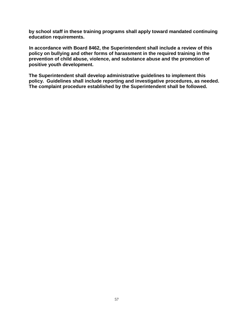**by school staff in these training programs shall apply toward mandated continuing education requirements.**

 **In accordance with Board 8462, the Superintendent shall include a review of this policy on bullying and other forms of harassment in the required training in the prevention of child abuse, violence, and substance abuse and the promotion of positive youth development.** 

**The Superintendent shall develop administrative guidelines to implement this policy. Guidelines shall include reporting and investigative procedures, as needed. The complaint procedure established by the Superintendent shall be followed.**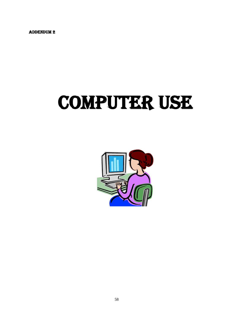ADDENDUM 2

# COMPUTER USE

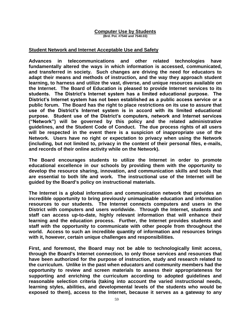#### **Computer Use by Students (Brd. Pol. #7540 and 7540.03)**

#### **Student Network and Internet Acceptable Use and Safety**

**Advances in telecommunications and other related technologies have fundamentally altered the ways in which information is accessed, communicated, and transferred in society. Such changes are driving the need for educators to adapt their means and methods of instruction, and the way they approach student learning, to harness and utilize the vast, diverse, and unique resources available on the Internet. The Board of Education is pleased to provide Internet services to its students. The District's Internet system has a limited educational purpose. The District's Internet system has not been established as a public access service or a public forum. The Board has the right to place restrictions on its use to assure that use of the District's Internet system is in accord with its limited educational purpose. Student use of the District's computers, network and Internet services ("Network") will be governed by this policy and the related administrative guidelines, and the Student Code of Conduct. The due process rights of all users will be respected in the event there is a suspicion of inappropriate use of the Network. Users have no right or expectation to privacy when using the Network (including, but not limited to, privacy in the content of their personal files, e-mails, and records of their online activity while on the Network).**

**The Board encourages students to utilize the Internet in order to promote educational excellence in our schools by providing them with the opportunity to develop the resource sharing, innovation, and communication skills and tools that are essential to both life and work. The instructional use of the Internet will be guided by the Board's policy on instructional materials.**

**The Internet is a global information and communication network that provides an incredible opportunity to bring previously unimaginable education and information resources to our students. The Internet connects computers and users in the District with computers and users worldwide. Through the Internet, students and staff can access up-to-date, highly relevant information that will enhance their learning and the education process. Further, the Internet provides students and staff with the opportunity to communicate with other people from throughout the world. Access to such an incredible quantity of information and resources brings with it, however, certain unique challenges and responsibilities.**

**First, and foremost, the Board may not be able to technologically limit access, through the Board's Internet connection, to only those services and resources that have been authorized for the purpose of instruction, study and research related to the curriculum. Unlike in the past when educators and community members had the opportunity to review and screen materials to assess their appropriateness for supporting and enriching the curriculum according to adopted guidelines and reasonable selection criteria (taking into account the varied instructional needs, learning styles, abilities, and developmental levels of the students who would be exposed to them), access to the Internet, because it serves as a gateway to any**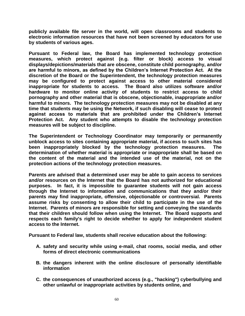**publicly available file server in the world, will open classrooms and students to electronic information resources that have not been screened by educators for use by students of various ages.**

**Pursuant to Federal law, the Board has implemented technology protection measures, which protect against (e.g. filter or block) access to visual displays/depictions/materials that are obscene, constitute child pornography, and/or are harmful to minors, as defined by the Children's Internet Protection Act. At the discretion of the Board or the Superintendent, the technology protection measures may be configured to protect against access to other material considered inappropriate for students to access. The Board also utilizes software and/or hardware to monitor online activity of students to restrict access to child pornography and other material that is obscene, objectionable, inappropriate and/or harmful to minors. The technology protection measures may not be disabled at any time that students may be using the Network, if such disabling will cease to protect against access to materials that are prohibited under the Children's Internet Protection Act. Any student who attempts to disable the technology protection measures will be subject to discipline.**

**The Superintendent or Technology Coordinator may temporarily or permanently unblock access to sites containing appropriate material, if access to such sites has been inappropriately blocked by the technology protection measures. The determination of whether material is appropriate or inappropriate shall be based on the content of the material and the intended use of the material, not on the protection actions of the technology protection measures.**

**Parents are advised that a determined user may be able to gain access to services and/or resources on the Internet that the Board has not authorized for educational purposes. In fact, it is impossible to guarantee students will not gain access through the Internet to information and communications that they and/or their parents may find inappropriate, offensive, objectionable or controversial. Parents assume risks by consenting to allow their child to participate in the use of the Internet. Parents of minors are responsible for setting and conveying the standards that their children should follow when using the Internet. The Board supports and respects each family's right to decide whether to apply for independent student access to the Internet.**

**Pursuant to Federal law, students shall receive education about the following:**

- **A. safety and security while using e-mail, chat rooms, social media, and other forms of direct electronic communications**
- **B. the dangers inherent with the online disclosure of personally identifiable information**
- **C. the consequences of unauthorized access (e.g., "hacking") cyberbullying and other unlawful or inappropriate activities by students online, and**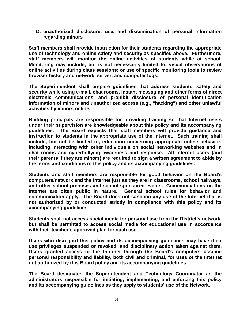**D. unauthorized disclosure, use, and dissemination of personal information regarding minors**

**Staff members shall provide instruction for their students regarding the appropriate use of technology and online safety and security as specified above. Furthermore, staff members will monitor the online activities of students while at school. Monitoring may include, but is not necessarily limited to, visual observations of online activities during class sessions; or use of specific monitoring tools to review browser history and network, server, and computer logs.**

**The Superintendent shall prepare guidelines that address students' safety and security while using e-mail, chat rooms, instant messaging and other forms of direct electronic communications, and prohibit disclosure of personal identification information of minors and unauthorized access (e.g., "hacking") and other unlawful activities by minors online.**

**Building principals are responsible for providing training so that Internet users under their supervision are knowledgeable about this policy and its accompanying guidelines. The Board expects that staff members will provide guidance and instruction to students in the appropriate use of the Internet. Such training shall include, but not be limited to, education concerning appropriate online behavior, including interacting with other individuals on social networking websites and in chat rooms and cyberbullying awareness and response. All Internet users (and their parents if they are minors) are required to sign a written agreement to abide by the terms and conditions of this policy and its accompanying guidelines.**

**Students and staff members are responsible for good behavior on the Board's computers/network and the Internet just as they are in classrooms, school hallways, and other school premises and school sponsored events. Communications on the Internet are often public in nature. General school rules for behavior and communication apply. The Board does not sanction any use of the Internet that is not authorized by or conducted strictly in compliance with this policy and its accompanying guidelines.** 

**Students shall not access social media for personal use from the District's network, but shall be permitted to access social media for educational use in accordance with their teacher's approved plan for such use.**

**Users who disregard this policy and its accompanying guidelines may have their use privileges suspended or revoked, and disciplinary action taken against them. Users granted access to the Internet through the Board's computers assume personal responsibility and liability, both civil and criminal, for uses of the Internet not authorized by this Board policy and its accompanying guidelines.**

**The Board designates the Superintendent and Technology Coordinator as the administrators responsible for initiating, implementing, and enforcing this policy and its accompanying guidelines as they apply to students' use of the Network.**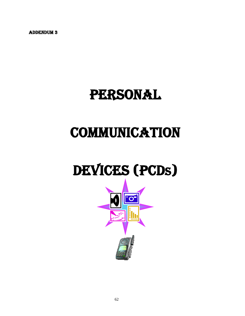ADDENDUM 3

### PERSONAL

# **COMMUNICATION**

# DEVICES (PCDs)

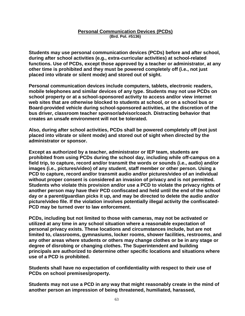#### **Personal Communication Devices (PCDs) (Brd. Pol. #5136)**

**Students may use personal communication devices (PCDs) before and after school, during after school activities (e.g., extra-curricular activities) at school-related functions. Use of PCDs, except those approved by a teacher or administrator, at any other time is prohibited and they must be powered completely off (i.e., not just placed into vibrate or silent mode) and stored out of sight.**

**Personal communication devices include computers, tablets, electronic readers, mobile telephones and similar devices of any type. Students may not use PCDs on school property or at a school-sponsored activity to access and/or view internet web sites that are otherwise blocked to students at school, or on a school bus or Board-provided vehicle during school-sponsored activities, at the discretion of the bus driver, classroom teacher sponsor/advisor/coach. Distracting behavior that creates an unsafe environment will not be tolerated.** 

**Also, during after school activities, PCDs shall be powered completely off (not just placed into vibrate or silent mode) and stored out of sight when directed by the administrator or sponsor.**

**Except as authorized by a teacher, administrator or IEP team, students are prohibited from using PCDs during the school day, including while off-campus on a field trip, to capture, record and/or transmit the words or sounds (i.e., audio) and/or images (i.e., pictures/video) of any student, staff member or other person. Using a PCD to capture, record and/or transmit audio and/or pictures/video of an individual without proper consent is considered an invasion of privacy and is not permitted. Students who violate this provision and/or use a PCD to violate the privacy rights of another person may have their PCD confiscated and held until the end of the school day or a parent/guardian picks it up, and may be directed to delete the audio and/or picture/video file. If the violation involves potentially illegal activity the confiscated-PCD may be turned over to law enforcement.**

**PCDs, including but not limited to those with cameras, may not be activated or utilized at any time in any school situation where a reasonable expectation of personal privacy exists. These locations and circumstances include, but are not limited to, classrooms, gymnasiums, locker rooms, shower facilities, restrooms, and any other areas where students or others may change clothes or be in any stage or degree of disrobing or changing clothes. The Superintendent and building principals are authorized to determine other specific locations and situations where use of a PCD is prohibited.**

**Students shall have no expectation of confidentiality with respect to their use of PCDs on school premises/property.**

**Students may not use a PCD in any way that might reasonably create in the mind of another person an impression of being threatened, humiliated, harassed,**